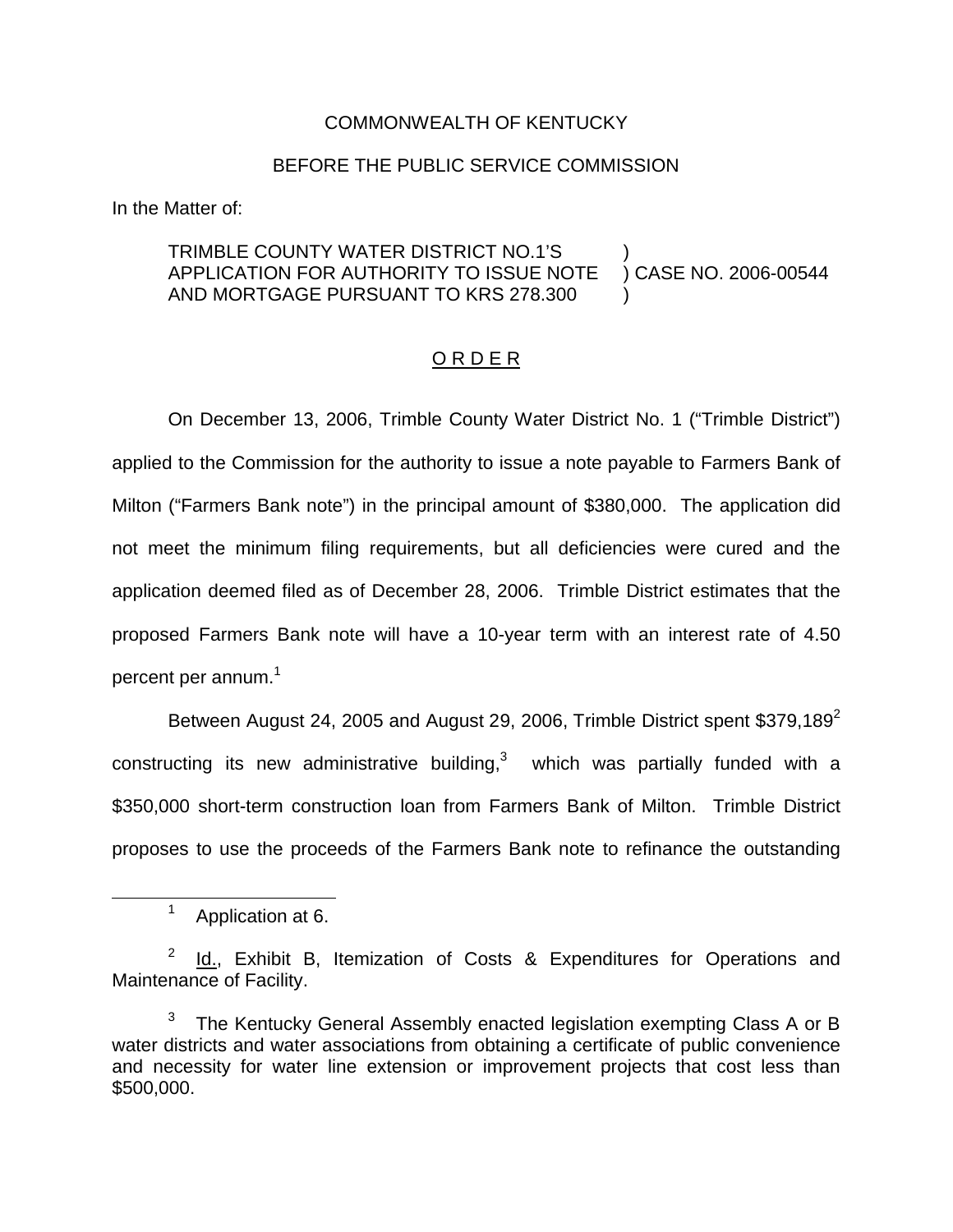## COMMONWEALTH OF KENTUCKY

## BEFORE THE PUBLIC SERVICE COMMISSION

In the Matter of:

## TRIMBLE COUNTY WATER DISTRICT NO.1'S APPLICATION FOR AUTHORITY TO ISSUE NOTE AND MORTGAGE PURSUANT TO KRS 278.300 ) ) CASE NO. 2006-00544 )

## ORDER

On December 13, 2006, Trimble County Water District No. 1 ("Trimble District") applied to the Commission for the authority to issue a note payable to Farmers Bank of Milton ("Farmers Bank note") in the principal amount of \$380,000. The application did not meet the minimum filing requirements, but all deficiencies were cured and the application deemed filed as of December 28, 2006. Trimble District estimates that the proposed Farmers Bank note will have a 10-year term with an interest rate of 4.50 percent per annum.<sup>1</sup>

Between August 24, 2005 and August 29, 2006, Trimble District spent \$379,189 $2$ constructing its new administrative building, $3$  which was partially funded with a \$350,000 short-term construction loan from Farmers Bank of Milton. Trimble District proposes to use the proceeds of the Farmers Bank note to refinance the outstanding

<sup>&</sup>lt;sup>1</sup> Application at 6.

<sup>2</sup> Id., Exhibit B, Itemization of Costs & Expenditures for Operations and Maintenance of Facility.

 $3$  The Kentucky General Assembly enacted legislation exempting Class A or B water districts and water associations from obtaining a certificate of public convenience and necessity for water line extension or improvement projects that cost less than \$500,000.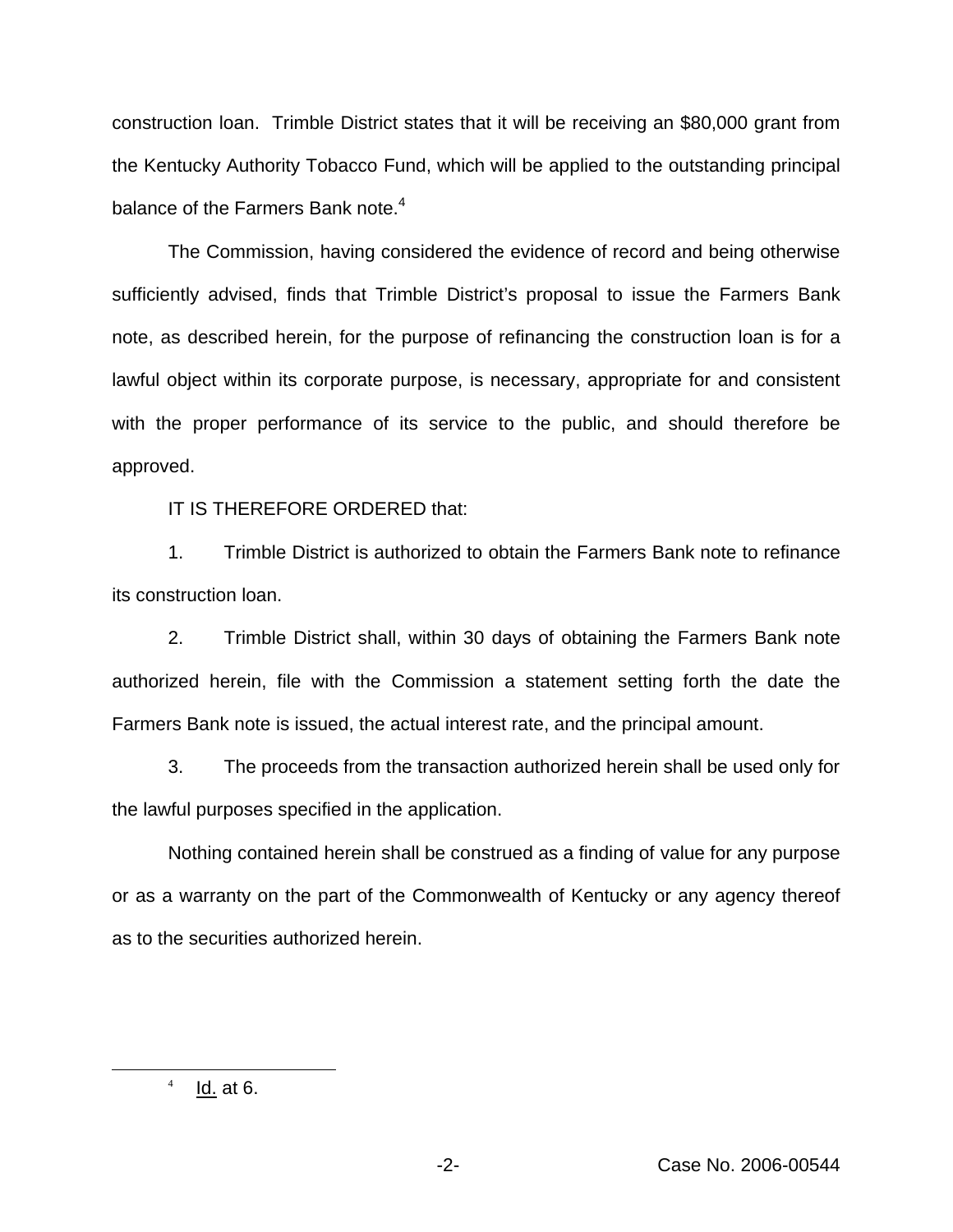construction loan. Trimble District states that it will be receiving an \$80,000 grant from the Kentucky Authority Tobacco Fund, which will be applied to the outstanding principal balance of the Farmers Bank note.<sup>4</sup>

The Commission, having considered the evidence of record and being otherwise sufficiently advised, finds that Trimble District's proposal to issue the Farmers Bank note, as described herein, for the purpose of refinancing the construction loan is for a lawful object within its corporate purpose, is necessary, appropriate for and consistent with the proper performance of its service to the public, and should therefore be approved.

IT IS THEREFORE ORDERED that:

1. Trimble District is authorized to obtain the Farmers Bank note to refinance its construction loan.

2. Trimble District shall, within 30 days of obtaining the Farmers Bank note authorized herein, file with the Commission a statement setting forth the date the Farmers Bank note is issued, the actual interest rate, and the principal amount.

3. The proceeds from the transaction authorized herein shall be used only for the lawful purposes specified in the application.

Nothing contained herein shall be construed as a finding of value for any purpose or as a warranty on the part of the Commonwealth of Kentucky or any agency thereof as to the securities authorized herein.

 $4$  Id. at 6.